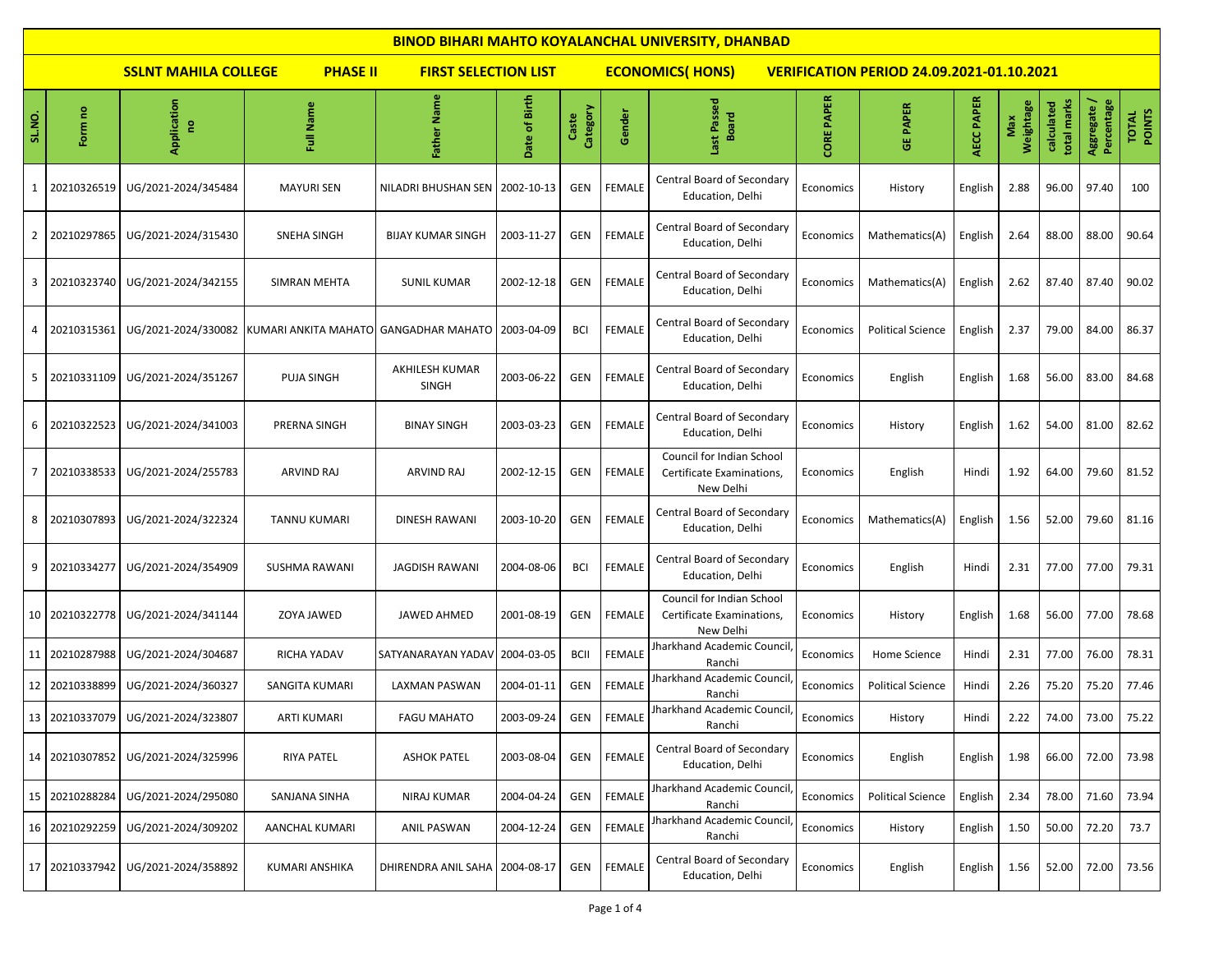|        | <b>BINOD BIHARI MAHTO KOYALANCHAL UNIVERSITY, DHANBAD</b> |                                    |                                       |                                |                         |                   |               |                                                                     |                   |                                                  |                   |                  |                           |                           |                        |
|--------|-----------------------------------------------------------|------------------------------------|---------------------------------------|--------------------------------|-------------------------|-------------------|---------------|---------------------------------------------------------------------|-------------------|--------------------------------------------------|-------------------|------------------|---------------------------|---------------------------|------------------------|
|        |                                                           | <b>SSLNT MAHILA COLLEGE</b>        | <b>PHASE II</b>                       | <b>FIRST SELECTION LIST</b>    |                         |                   |               | <b>ECONOMICS(HONS)</b>                                              |                   | <b>VERIFICATION PERIOD 24.09.2021-01.10.2021</b> |                   |                  |                           |                           |                        |
| SL.NO. | Form no                                                   | Application<br>e                   | Full Name                             | Father Name                    | of Birth<br><b>Date</b> | Category<br>Caste | Gender        | Last Passed<br><b>Board</b>                                         | <b>CORE PAPER</b> | <b>GE PAPER</b>                                  | <b>AECC PAPER</b> | Weightage<br>Max | total marks<br>calculated | Aggregate /<br>Percentage | <b>TOTAL</b><br>POINTS |
| 1      | 20210326519                                               | UG/2021-2024/345484                | <b>MAYURI SEN</b>                     | NILADRI BHUSHAN SEN            | 2002-10-13              | <b>GEN</b>        | <b>FEMALE</b> | Central Board of Secondary<br>Education, Delhi                      | Economics         | History                                          | English           | 2.88             | 96.00                     | 97.40                     | 100                    |
| 2      | 20210297865                                               | UG/2021-2024/315430                | <b>SNEHA SINGH</b>                    | <b>BIJAY KUMAR SINGH</b>       | 2003-11-27              | <b>GEN</b>        | <b>FEMALE</b> | Central Board of Secondary<br>Education, Delhi                      | Economics         | Mathematics(A)                                   | English           | 2.64             | 88.00                     | 88.00                     | 90.64                  |
| 3      | 20210323740                                               | UG/2021-2024/342155                | SIMRAN MEHTA                          | <b>SUNIL KUMAR</b>             | 2002-12-18              | GEN               | <b>FEMALE</b> | Central Board of Secondary<br>Education, Delhi                      | Economics         | Mathematics(A)                                   | English           | 2.62             | 87.40                     | 87.40                     | 90.02                  |
| 4      | 20210315361                                               | UG/2021-2024/330082                | KUMARI ANKITA MAHATO GANGADHAR MAHATO |                                | 2003-04-09              | <b>BCI</b>        | <b>FEMALE</b> | Central Board of Secondary<br>Education, Delhi                      | Economics         | <b>Political Science</b>                         | English           | 2.37             | 79.00                     | 84.00                     | 86.37                  |
| 5      | 20210331109                                               | UG/2021-2024/351267                | PUJA SINGH                            | AKHILESH KUMAR<br><b>SINGH</b> | 2003-06-22              | GEN               | <b>FEMALE</b> | Central Board of Secondary<br>Education, Delhi                      | Economics         | English                                          | English           | 1.68             | 56.00                     | 83.00                     | 84.68                  |
| 6      | 20210322523                                               | UG/2021-2024/341003                | PRERNA SINGH                          | <b>BINAY SINGH</b>             | 2003-03-23              | GEN               | <b>FEMALE</b> | Central Board of Secondary<br>Education, Delhi                      | Economics         | History                                          | English           | 1.62             | 54.00                     | 81.00                     | 82.62                  |
| 7      | 20210338533                                               | UG/2021-2024/255783                | ARVIND RAJ                            | ARVIND RAJ                     | 2002-12-15              | <b>GEN</b>        | <b>FEMALE</b> | Council for Indian School<br>Certificate Examinations,<br>New Delhi | Economics         | English                                          | Hindi             | 1.92             | 64.00                     | 79.60                     | 81.52                  |
| 8      | 20210307893                                               | UG/2021-2024/322324                | TANNU KUMARI                          | DINESH RAWANI                  | 2003-10-20              | <b>GEN</b>        | <b>FEMALE</b> | Central Board of Secondary<br>Education, Delhi                      | Economics         | Mathematics(A)                                   | English           | 1.56             | 52.00                     | 79.60                     | 81.16                  |
| 9      | 20210334277                                               | UG/2021-2024/354909                | SUSHMA RAWANI                         | <b>JAGDISH RAWANI</b>          | 2004-08-06              | <b>BCI</b>        | FEMALE        | Central Board of Secondary<br>Education, Delhi                      | Economics         | English                                          | Hindi             | 2.31             | 77.00                     | 77.00                     | 79.31                  |
|        | 10 20210322778                                            | UG/2021-2024/341144                | ZOYA JAWED                            | JAWED AHMED                    | 2001-08-19              | GEN               | <b>FEMALE</b> | Council for Indian School<br>Certificate Examinations,<br>New Delhi | Economics         | History                                          | English           | 1.68             | 56.00                     | 77.00                     | 78.68                  |
| 11     | 20210287988                                               | UG/2021-2024/304687                | RICHA YADAV                           | SATYANARAYAN YADAV             | 2004-03-05              | <b>BCII</b>       | <b>FEMALE</b> | Iharkhand Academic Council<br>Ranchi                                | Economics         | Home Science                                     | Hindi             | 2.31             | 77.00                     | 76.00                     | 78.31                  |
| 12     | 20210338899                                               | UG/2021-2024/360327                | SANGITA KUMARI                        | LAXMAN PASWAN                  | 2004-01-11              | GEN               | <b>FEMALE</b> | Iharkhand Academic Council<br>Ranchi                                | Economics         | <b>Political Science</b>                         | Hindi             | 2.26             | 75.20                     | 75.20                     | 77.46                  |
|        |                                                           | 13 20210337079 UG/2021-2024/323807 | <b>ARTI KUMARI</b>                    | <b>FAGU MAHATO</b>             | 2003-09-24              | GEN               | <b>FEMALE</b> | Jharkhand Academic Council<br>Ranchi                                | Economics         | History                                          | Hindi             | 2.22             | 74.00                     | 73.00                     | 75.22                  |
| 14     | 20210307852                                               | UG/2021-2024/325996                | <b>RIYA PATEL</b>                     | <b>ASHOK PATEL</b>             | 2003-08-04              | <b>GEN</b>        | <b>FEMALE</b> | Central Board of Secondary<br>Education, Delhi                      | Economics         | English                                          | English           | 1.98             | 66.00                     | 72.00                     | 73.98                  |
|        | 15 20210288284                                            | UG/2021-2024/295080                | SANJANA SINHA                         | NIRAJ KUMAR                    | 2004-04-24              | GEN               | <b>FEMALE</b> | <b>Jharkhand Academic Council</b><br>Ranchi                         | Economics         | <b>Political Science</b>                         | English           | 2.34             | 78.00                     | 71.60                     | 73.94                  |
| 16     | 20210292259                                               | UG/2021-2024/309202                | AANCHAL KUMARI                        | ANIL PASWAN                    | 2004-12-24              | GEN               | FEMALE        | <b>Iharkhand Academic Council</b><br>Ranchi                         | Economics         | History                                          | English           | 1.50             | 50.00                     | 72.20                     | 73.7                   |
| 17     | 20210337942                                               | UG/2021-2024/358892                | KUMARI ANSHIKA                        | DHIRENDRA ANIL SAHA            | 2004-08-17              | GEN               | <b>FEMALE</b> | Central Board of Secondary<br>Education, Delhi                      | Economics         | English                                          | English           | 1.56             | 52.00                     | 72.00                     | 73.56                  |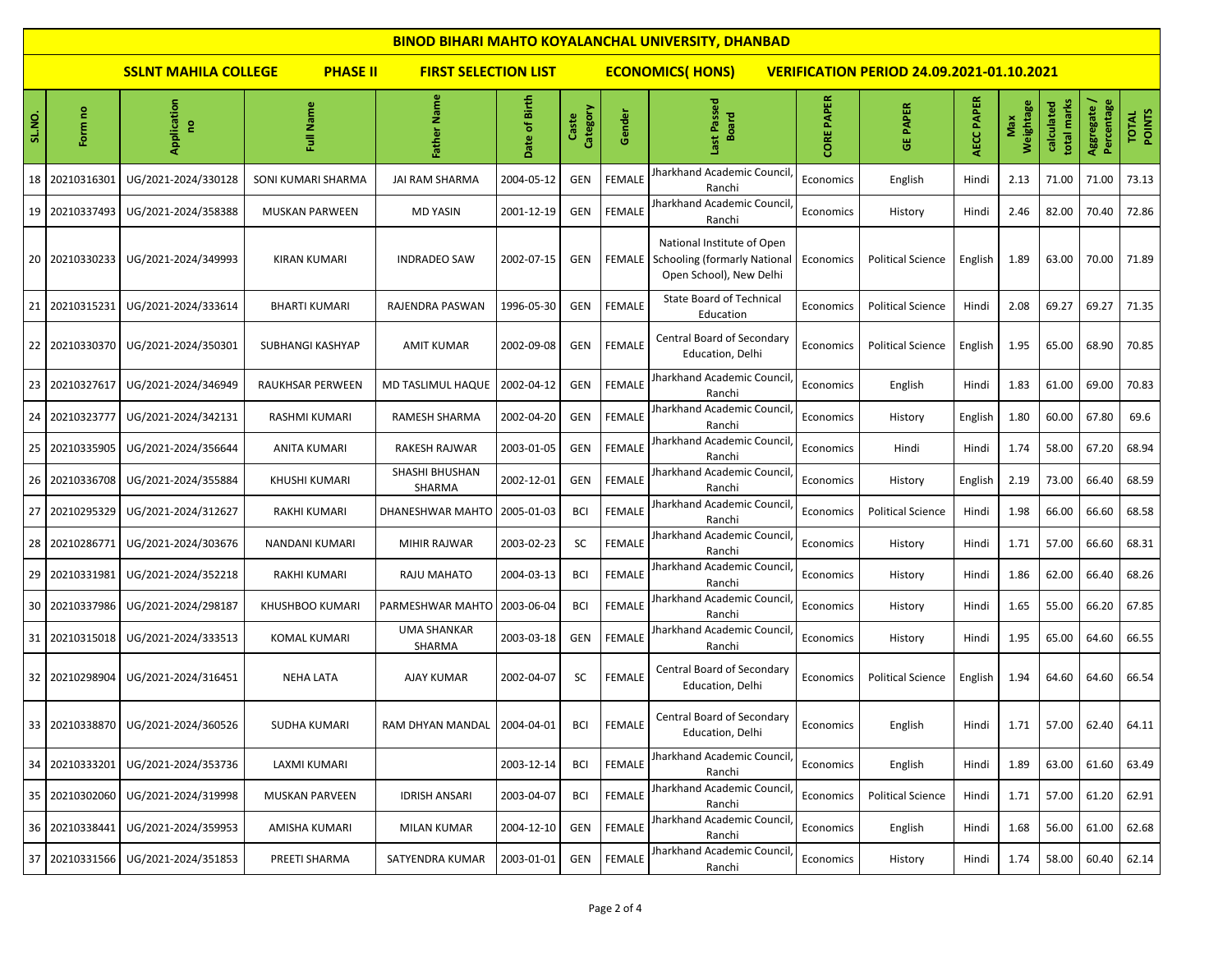|                                                                               | <b>BINOD BIHARI MAHTO KOYALANCHAL UNIVERSITY, DHANBAD</b> |                                    |                         |                               |               |                   |                                                                            |                                                                                              |                             |                          |            |                  |                           |                           |                 |  |  |
|-------------------------------------------------------------------------------|-----------------------------------------------------------|------------------------------------|-------------------------|-------------------------------|---------------|-------------------|----------------------------------------------------------------------------|----------------------------------------------------------------------------------------------|-----------------------------|--------------------------|------------|------------------|---------------------------|---------------------------|-----------------|--|--|
| <b>SSLNT MAHILA COLLEGE</b><br><b>PHASE II</b><br><b>FIRST SELECTION LIST</b> |                                                           |                                    |                         |                               |               |                   | <b>ECONOMICS(HONS)</b><br><b>VERIFICATION PERIOD 24.09.2021-01.10.2021</b> |                                                                                              |                             |                          |            |                  |                           |                           |                 |  |  |
| SL.NO.                                                                        | Form no                                                   | Application<br>e                   | Name<br>Ī               | <b>Name</b><br>Father         | Date of Birth | Category<br>Caste | Gender                                                                     | ast Passed<br><b>Board</b>                                                                   | <b>PAPER</b><br><b>CORE</b> | <b>GE PAPER</b>          | AECC PAPER | Weightage<br>Max | total marks<br>calculated | Aggregate /<br>Percentage | TOTAL<br>POINTS |  |  |
| 18                                                                            | 20210316301                                               | UG/2021-2024/330128                | SONI KUMARI SHARMA      | <b>JAI RAM SHARMA</b>         | 2004-05-12    | GEN               | <b>FEMALE</b>                                                              | Jharkhand Academic Council<br>Ranchi                                                         | Economics                   | English                  | Hindi      | 2.13             | 71.00                     | 71.00                     | 73.13           |  |  |
| 19                                                                            | 20210337493                                               | UG/2021-2024/358388                | <b>MUSKAN PARWEEN</b>   | <b>MD YASIN</b>               | 2001-12-19    | GEN               | <b>FEMALE</b>                                                              | Jharkhand Academic Council<br>Ranchi                                                         | Economics                   | History                  | Hindi      | 2.46             | 82.00                     | 70.40                     | 72.86           |  |  |
|                                                                               | 20 20210330233                                            | UG/2021-2024/349993                | <b>KIRAN KUMARI</b>     | <b>INDRADEO SAW</b>           | 2002-07-15    | GEN               | FEMALE                                                                     | National Institute of Open<br><b>Schooling (formarly National</b><br>Open School), New Delhi | Economics                   | <b>Political Science</b> | English    | 1.89             | 63.00                     | 70.00                     | 71.89           |  |  |
|                                                                               | 21 20210315231                                            | UG/2021-2024/333614                | <b>BHARTI KUMARI</b>    | RAJENDRA PASWAN               | 1996-05-30    | GEN               | <b>FEMALE</b>                                                              | <b>State Board of Technical</b><br>Education                                                 | Economics                   | <b>Political Science</b> | Hindi      | 2.08             | 69.27                     | 69.27                     | 71.35           |  |  |
|                                                                               | 22 20210330370                                            | UG/2021-2024/350301                | <b>SUBHANGI KASHYAP</b> | <b>AMIT KUMAR</b>             | 2002-09-08    | GEN               | <b>FEMALE</b>                                                              | Central Board of Secondary<br>Education, Delhi                                               | Economic:                   | <b>Political Science</b> | English    | 1.95             | 65.00                     | 68.90                     | 70.85           |  |  |
| 23                                                                            | 20210327617                                               | UG/2021-2024/346949                | RAUKHSAR PERWEEN        | MD TASLIMUL HAQUE             | 2002-04-12    | GEN               | <b>FEMALE</b>                                                              | Jharkhand Academic Council<br>Ranchi                                                         | Economics                   | English                  | Hindi      | 1.83             | 61.00                     | 69.00                     | 70.83           |  |  |
| 24                                                                            | 20210323777                                               | UG/2021-2024/342131                | RASHMI KUMARI           | <b>RAMESH SHARMA</b>          | 2002-04-20    | GEN               | <b>FEMALE</b>                                                              | <b>Jharkhand Academic Council</b><br>Ranchi                                                  | Economics                   | History                  | English    | 1.80             | 60.00                     | 67.80                     | 69.6            |  |  |
| 25                                                                            | 20210335905                                               | UG/2021-2024/356644                | <b>ANITA KUMARI</b>     | <b>RAKESH RAJWAR</b>          | 2003-01-05    | GEN               | <b>FEMALE</b>                                                              | Jharkhand Academic Council<br>Ranchi                                                         | Economics                   | Hindi                    | Hindi      | 1.74             | 58.00                     | 67.20                     | 68.94           |  |  |
| 26                                                                            | 20210336708                                               | UG/2021-2024/355884                | KHUSHI KUMARI           | SHASHI BHUSHAN<br>SHARMA      | 2002-12-01    | GEN               | <b>FEMALE</b>                                                              | Jharkhand Academic Council<br>Ranchi                                                         | Economics                   | History                  | English    | 2.19             | 73.00                     | 66.40                     | 68.59           |  |  |
| 27                                                                            | 20210295329                                               | UG/2021-2024/312627                | <b>RAKHI KUMARI</b>     | DHANESHWAR MAHTO   2005-01-03 |               | <b>BCI</b>        | <b>FEMALE</b>                                                              | Jharkhand Academic Council<br>Ranchi                                                         | Economics                   | <b>Political Science</b> | Hindi      | 1.98             | 66.00                     | 66.60                     | 68.58           |  |  |
| 28                                                                            | 20210286771                                               | UG/2021-2024/303676                | NANDANI KUMARI          | <b>MIHIR RAJWAR</b>           | 2003-02-23    | <b>SC</b>         | <b>FEMALE</b>                                                              | Jharkhand Academic Council<br>Ranchi                                                         | Economics                   | History                  | Hindi      | 1.71             | 57.00                     | 66.60                     | 68.31           |  |  |
| 29                                                                            | 20210331981                                               | UG/2021-2024/352218                | <b>RAKHI KUMARI</b>     | RAJU MAHATO                   | 2004-03-13    | <b>BCI</b>        | <b>FEMALE</b>                                                              | Jharkhand Academic Council<br>Ranchi                                                         | Economics                   | History                  | Hindi      | 1.86             | 62.00                     | 66.40                     | 68.26           |  |  |
| 30                                                                            | 20210337986                                               | UG/2021-2024/298187                | <b>KHUSHBOO KUMARI</b>  | PARMESHWAR MAHTO   2003-06-04 |               | <b>BCI</b>        | <b>FEMALE</b>                                                              | Jharkhand Academic Council<br>Ranchi                                                         | Economics                   | History                  | Hindi      | 1.65             | 55.00                     | 66.20                     | 67.85           |  |  |
|                                                                               | 31 20210315018                                            | UG/2021-2024/333513                | <b>KOMAL KUMARI</b>     | <b>UMA SHANKAR</b><br>SHARMA  | 2003-03-18    | GEN               | <b>FEMALE</b>                                                              | Jharkhand Academic Council<br>Ranchi                                                         | Economics                   | History                  | Hindi      | 1.95             | 65.00                     | 64.60                     | 66.55           |  |  |
|                                                                               | 32 20210298904                                            | UG/2021-2024/316451                | <b>NEHA LATA</b>        | AJAY KUMAR                    | 2002-04-07    | <b>SC</b>         | <b>FEMALE</b>                                                              | Central Board of Secondary<br>Education, Delhi                                               | Economics                   | <b>Political Science</b> | English    | 1.94             | 64.60                     | 64.60                     | 66.54           |  |  |
|                                                                               |                                                           | 33 20210338870 UG/2021-2024/360526 | SUDHA KUMARI            | RAM DHYAN MANDAL 2004-04-01   |               | <b>BCI</b>        | <b>FEMALE</b>                                                              | Central Board of Secondary<br>Education, Delhi                                               | Economics                   | English                  | Hindi      | 1.71             | 57.00                     | 62.40                     | 64.11           |  |  |
|                                                                               | 34 20210333201                                            | UG/2021-2024/353736                | LAXMI KUMARI            |                               | 2003-12-14    | BCI               | FEMALE                                                                     | Jharkhand Academic Council<br>Ranchi                                                         | Economics                   | English                  | Hindi      | 1.89             | 63.00                     | 61.60                     | 63.49           |  |  |
|                                                                               | 35 20210302060                                            | UG/2021-2024/319998                | <b>MUSKAN PARVEEN</b>   | <b>IDRISH ANSARI</b>          | 2003-04-07    | <b>BCI</b>        | FEMALE                                                                     | Jharkhand Academic Council<br>Ranchi                                                         | Economics                   | <b>Political Science</b> | Hindi      | 1.71             | 57.00                     | 61.20                     | 62.91           |  |  |
|                                                                               | 36 20210338441                                            | UG/2021-2024/359953                | AMISHA KUMARI           | <b>MILAN KUMAR</b>            | 2004-12-10    | <b>GEN</b>        | FEMALE                                                                     | Jharkhand Academic Council<br>Ranchi                                                         | Economics                   | English                  | Hindi      | 1.68             | 56.00                     | 61.00                     | 62.68           |  |  |
|                                                                               | 37 20210331566                                            | UG/2021-2024/351853                | PREETI SHARMA           | SATYENDRA KUMAR               | 2003-01-01    | <b>GEN</b>        | <b>FEMALE</b>                                                              | Jharkhand Academic Council<br>Ranchi                                                         | Economics                   | History                  | Hindi      | 1.74             | 58.00                     | 60.40                     | 62.14           |  |  |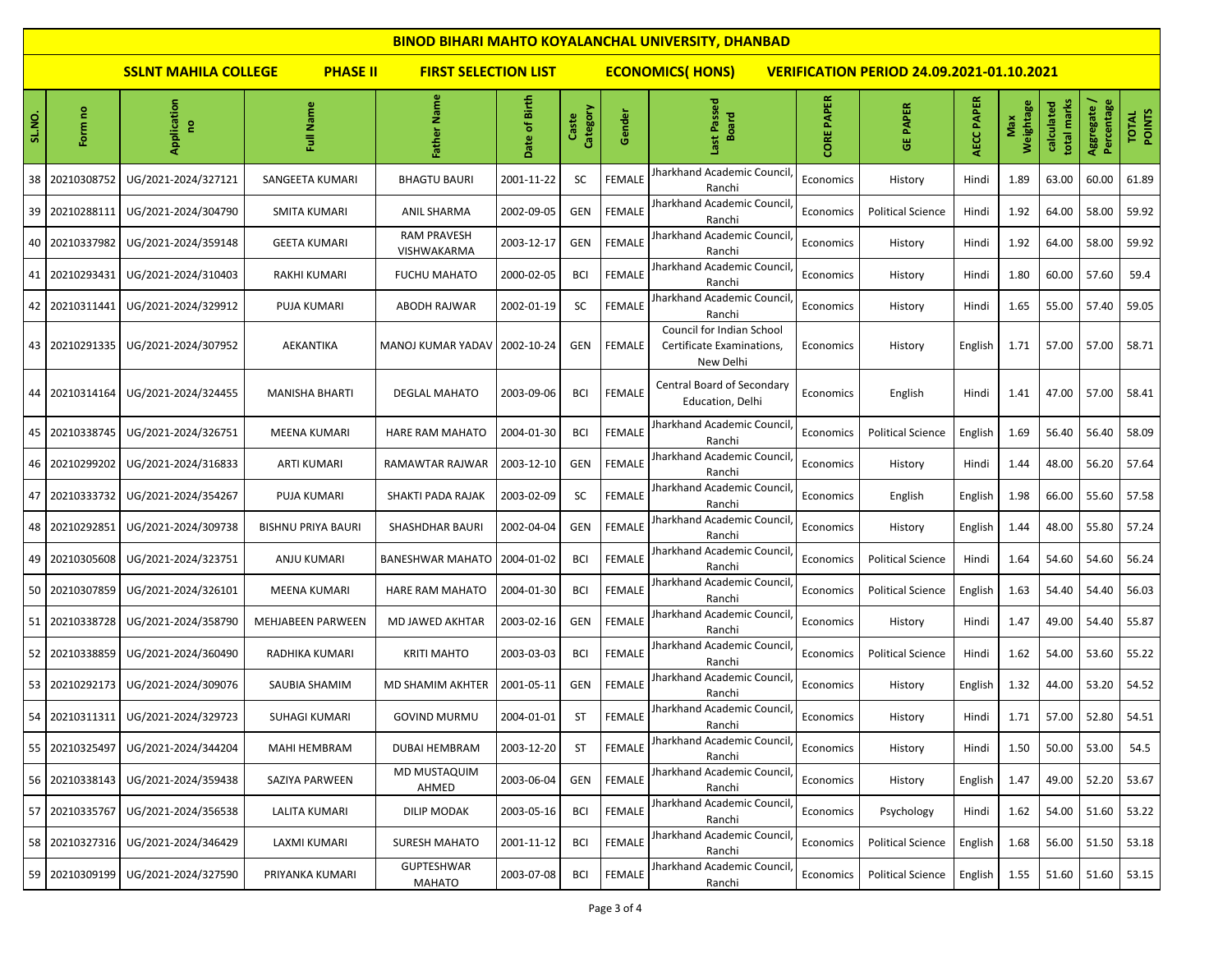|        | <b>BINOD BIHARI MAHTO KOYALANCHAL UNIVERSITY, DHANBAD</b> |                                    |                           |                                                                                                           |               |                   |               |                                                                     |                   |                          |            |                  |                           |                           |                        |  |  |  |
|--------|-----------------------------------------------------------|------------------------------------|---------------------------|-----------------------------------------------------------------------------------------------------------|---------------|-------------------|---------------|---------------------------------------------------------------------|-------------------|--------------------------|------------|------------------|---------------------------|---------------------------|------------------------|--|--|--|
|        |                                                           | <b>SSLNT MAHILA COLLEGE</b>        | <b>PHASE II</b>           | <b>ECONOMICS(HONS)</b><br><b>FIRST SELECTION LIST</b><br><b>VERIFICATION PERIOD 24.09.2021-01.10.2021</b> |               |                   |               |                                                                     |                   |                          |            |                  |                           |                           |                        |  |  |  |
| SL.NO. | Form no                                                   | Application<br>g                   | Name<br>ā,                | Father Name                                                                                               | Date of Birth | Category<br>Caste | Gender        | Last Passed<br><b>Board</b>                                         | <b>CORE PAPER</b> | <b>GE PAPER</b>          | AECC PAPER | Weightage<br>Max | total marks<br>calculated | Aggregate /<br>Percentage | <b>TOTAL</b><br>POINTS |  |  |  |
| 38     | 20210308752                                               | UG/2021-2024/327121                | SANGEETA KUMARI           | <b>BHAGTU BAURI</b>                                                                                       | 2001-11-22    | <b>SC</b>         | FEMALE        | Jharkhand Academic Council<br>Ranchi                                | Economics         | History                  | Hindi      | 1.89             | 63.00                     | 60.00                     | 61.89                  |  |  |  |
|        | 39 20210288111                                            | UG/2021-2024/304790                | <b>SMITA KUMARI</b>       | <b>ANIL SHARMA</b>                                                                                        | 2002-09-05    | <b>GEN</b>        | <b>FEMALE</b> | Jharkhand Academic Council<br>Ranchi                                | Economics         | <b>Political Science</b> | Hindi      | 1.92             | 64.00                     | 58.00                     | 59.92                  |  |  |  |
|        | 40 20210337982                                            | UG/2021-2024/359148                | <b>GEETA KUMARI</b>       | <b>RAM PRAVESH</b><br>VISHWAKARMA                                                                         | 2003-12-17    | <b>GEN</b>        | FEMALE        | Iharkhand Academic Council<br>Ranchi                                | Economics         | History                  | Hindi      | 1.92             | 64.00                     | 58.00                     | 59.92                  |  |  |  |
|        | 41 20210293431                                            | UG/2021-2024/310403                | RAKHI KUMARI              | <b>FUCHU MAHATO</b>                                                                                       | 2000-02-05    | <b>BCI</b>        | FEMALE        | Jharkhand Academic Council<br>Ranchi                                | Economics         | History                  | Hindi      | 1.80             | 60.00                     | 57.60                     | 59.4                   |  |  |  |
|        | 42 20210311441                                            | UG/2021-2024/329912                | <b>PUJA KUMARI</b>        | ABODH RAJWAR                                                                                              | 2002-01-19    | SC                | FEMALE        | Iharkhand Academic Council<br>Ranchi                                | Economics         | History                  | Hindi      | 1.65             | 55.00                     | 57.40                     | 59.05                  |  |  |  |
|        | 43 20210291335                                            | UG/2021-2024/307952                | AEKANTIKA                 | MANOJ KUMAR YADAV                                                                                         | 2002-10-24    | <b>GEN</b>        | <b>FEMALE</b> | Council for Indian School<br>Certificate Examinations,<br>New Delhi | Economics         | History                  | English    | 1.71             | 57.00                     | 57.00                     | 58.71                  |  |  |  |
|        | 44 20210314164                                            | UG/2021-2024/324455                | MANISHA BHARTI            | <b>DEGLAL MAHATO</b>                                                                                      | 2003-09-06    | <b>BCI</b>        | FEMALE        | <b>Central Board of Secondary</b><br>Education, Delhi               | Economics         | English                  | Hindi      | 1.41             | 47.00                     | 57.00                     | 58.41                  |  |  |  |
| 45     | 20210338745                                               | UG/2021-2024/326751                | MEENA KUMARI              | <b>HARE RAM MAHATO</b>                                                                                    | 2004-01-30    | <b>BCI</b>        | <b>FEMALE</b> | Jharkhand Academic Council<br>Ranchi                                | Economics         | <b>Political Science</b> | English    | 1.69             | 56.40                     | 56.40                     | 58.09                  |  |  |  |
|        | 46 20210299202                                            | UG/2021-2024/316833                | <b>ARTI KUMARI</b>        | RAMAWTAR RAJWAR                                                                                           | 2003-12-10    | <b>GEN</b>        | <b>FEMALE</b> | Jharkhand Academic Council<br>Ranchi                                | Economics         | History                  | Hindi      | 1.44             | 48.00                     | 56.20                     | 57.64                  |  |  |  |
|        | 47 20210333732                                            | UG/2021-2024/354267                | PUJA KUMARI               | SHAKTI PADA RAJAK                                                                                         | 2003-02-09    | <b>SC</b>         | FEMALE        | Jharkhand Academic Council<br>Ranchi                                | Economics         | English                  | English    | 1.98             | 66.00                     | 55.60                     | 57.58                  |  |  |  |
|        | 48 20210292851                                            | UG/2021-2024/309738                | <b>BISHNU PRIYA BAURI</b> | SHASHDHAR BAURI                                                                                           | 2002-04-04    | <b>GEN</b>        | <b>FEMALE</b> | Jharkhand Academic Council<br>Ranchi                                | Economics         | History                  | English    | 1.44             | 48.00                     | 55.80                     | 57.24                  |  |  |  |
|        | 49 20210305608                                            | UG/2021-2024/323751                | ANJU KUMARI               | BANESHWAR MAHATO                                                                                          | 2004-01-02    | <b>BCI</b>        | FEMALE        | Jharkhand Academic Council<br>Ranchi                                | Economics         | <b>Political Science</b> | Hindi      | 1.64             | 54.60                     | 54.60                     | 56.24                  |  |  |  |
|        | 50 20210307859                                            | UG/2021-2024/326101                | MEENA KUMARI              | <b>HARE RAM MAHATO</b>                                                                                    | 2004-01-30    | <b>BCI</b>        | FEMALE        | Jharkhand Academic Council<br>Ranchi                                | Economics         | <b>Political Science</b> | English    | 1.63             | 54.40                     | 54.40                     | 56.03                  |  |  |  |
|        | 51 20210338728                                            | UG/2021-2024/358790                | <b>MEHJABEEN PARWEEN</b>  | MD JAWED AKHTAR                                                                                           | 2003-02-16    | <b>GEN</b>        | <b>FEMALE</b> | Jharkhand Academic Council<br>Ranchi                                | Economics         | History                  | Hindi      | 1.47             | 49.00                     | 54.40                     | 55.87                  |  |  |  |
|        | 52 20210338859                                            | UG/2021-2024/360490                | RADHIKA KUMARI            | <b>KRITI MAHTO</b>                                                                                        | 2003-03-03    | <b>BCI</b>        | FEMALE        | Iharkhand Academic Council<br>Ranchi                                | Economics         | <b>Political Science</b> | Hindi      | 1.62             | 54.00                     | 53.60                     | 55.22                  |  |  |  |
|        | 53 20210292173                                            | UG/2021-2024/309076                | SAUBIA SHAMIM             | MD SHAMIM AKHTER                                                                                          | 2001-05-11    | <b>GEN</b>        | FEMALE        | Jharkhand Academic Council<br>Ranchi                                | Economics         | History                  | English    | 1.32             | 44.00                     | 53.20                     | 54.52                  |  |  |  |
|        |                                                           | 54 20210311311 UG/2021-2024/329723 | <b>SUHAGI KUMARI</b>      | <b>GOVIND MURMU</b>                                                                                       | 2004-01-01    | <b>ST</b>         | <b>FEMALE</b> | Jharkhand Academic Council<br>Ranchi                                | Economics         | History                  | Hindi      | 1.71             | 57.00                     | 52.80                     | 54.51                  |  |  |  |
|        | 55 20210325497                                            | UG/2021-2024/344204                | <b>MAHI HEMBRAM</b>       | <b>DUBAI HEMBRAM</b>                                                                                      | 2003-12-20    | ST                | FEMALE        | Jharkhand Academic Council<br>Ranchi                                | Economics         | History                  | Hindi      | 1.50             | 50.00                     | 53.00                     | 54.5                   |  |  |  |
|        | 56 20210338143                                            | UG/2021-2024/359438                | SAZIYA PARWEEN            | MD MUSTAQUIM<br>AHMED                                                                                     | 2003-06-04    | <b>GEN</b>        | <b>FEMALE</b> | Jharkhand Academic Council<br>Ranchi                                | Economics         | History                  | English    | 1.47             | 49.00                     | 52.20                     | 53.67                  |  |  |  |
|        | 57 20210335767                                            | UG/2021-2024/356538                | <b>LALITA KUMARI</b>      | <b>DILIP MODAK</b>                                                                                        | 2003-05-16    | <b>BCI</b>        | FEMALE        | Jharkhand Academic Council<br>Ranchi                                | Economics         | Psychology               | Hindi      | 1.62             | 54.00                     | 51.60                     | 53.22                  |  |  |  |
|        | 58 20210327316                                            | UG/2021-2024/346429                | LAXMI KUMARI              | <b>SURESH MAHATO</b>                                                                                      | 2001-11-12    | <b>BCI</b>        | FEMALE        | Jharkhand Academic Council<br>Ranchi                                | Economics         | <b>Political Science</b> | English    | 1.68             | 56.00                     | 51.50                     | 53.18                  |  |  |  |
|        | 59 20210309199                                            | UG/2021-2024/327590                | PRIYANKA KUMARI           | <b>GUPTESHWAR</b><br>MAHATO                                                                               | 2003-07-08    | <b>BCI</b>        | <b>FEMALE</b> | Jharkhand Academic Council<br>Ranchi                                | Economics         | <b>Political Science</b> | English    | 1.55             | 51.60                     | 51.60                     | 53.15                  |  |  |  |